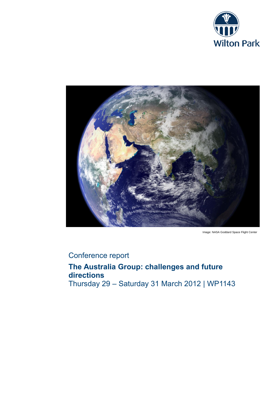



Image: NASA Goddard Space Flight Center

# Conference report

**The Australia Group: challenges and future directions** Thursday 29 – Saturday 31 March 2012 | WP1143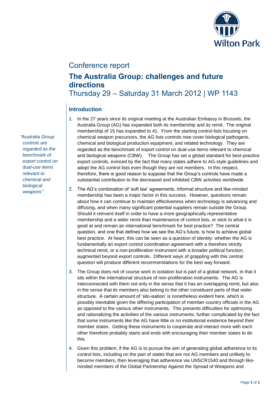

## Conference report

## **The Australia Group: challenges and future directions** Thursday 29 – Saturday 31 March 2012 | WP 1143

## **Introduction**

- 1. In the 27 years since its original meeting at the Australian Embassy in Brussels, the Australia Group (AG) has expanded both its membership and its remit. The original membership of 15 has expanded to 41. From the starting control lists focusing on chemical weapon precursors, the AG lists controls now cover biological pathogens, chemical and biological production equipment, and related technology. They are regarded as the benchmark of export control on dual-use items relevant to chemical and biological weapons (CBW). The Group has set a global standard for best-practice export controls, evinced by the fact that many states adhere to AG-style guidelines and adopt the AG control lists even though they are not members. In this respect, therefore, there is good reason to suppose that the Group's controls have made a substantial contribution to the decreased and inhibited CBW activities worldwide.
- 2. The AG's combination of 'soft law' agreements, informal structure and like-minded membership has been a major factor in this success. However, questions remain about how it can continue to maintain effectiveness when technology is advancing and diffusing, and when many significant potential suppliers remain outside the Group. Should it reinvent itself in order to have a more geographically representative membership and a wider remit than maintenance of control lists, or stick to what it is good at and remain an international benchmark for best practice? The central question, and one that defines how we see the AG's future, is how to achieve global best practice. At heart, this can be seen as a question of identity: whether the AG is fundamentally an export control coordination agreement with a therefore strictly technical remit, or a non-proliferation instrument with a broader political function, augmented beyond export controls. Different ways of grappling with this central question will produce different recommendations for the best way forward.
- 3. The Group does not of course work in isolation but is part of a global network, in that it sits within the international structure of non-proliferation instruments. The AG is interconnected with them not only in the sense that it has an overlapping remit, but also in the sense that its members also belong to the other constituent parts of that wider structure. A certain amount of 'silo-isation' is nonetheless evident here, which is possibly inevitable given the differing participation of member-country officials in the AG as opposed to the various other instruments. This presents difficulties for optimizing and rationalizing the activities of the various instruments, further complicated by the fact that some instruments like the AG have little or no institutional existence beyond their member states. Getting these instruments to cooperate and interact more with each other therefore probably starts and ends with encouraging their member states to do this.
- 4. Given this problem, if the AG is to pursue the aim of generating global adherence to its control lists, including on the part of states that are not AG members and unlikely to become members, then leveraging that adherence via UNSCR1540 and through likeminded members of the Global Partnership Against the Spread of Weapons and

*"Australia Group controls are regarded as the benchmark of export control on dual-use items relevant to chemical and biological weapons"*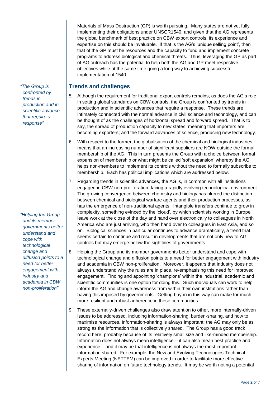Materials of Mass Destruction (GP) is worth pursuing. Many states are not yet fully implementing their obligations under UNSCR1540, and given that the AG represents the global benchmark of best practice on CBW export controls, its experience and expertise on this should be invaluable. If that is the AG's 'unique selling point', then that of the GP must be resources and the capacity to fund and implement concrete programs to address biological and chemical threats. Thus, leveraging the GP as part of AG outreach has the potential to help both the AG and GP meet respective objectives while at the same time going a long way to achieving successful implementation of 1540.

## **Trends and challenges**

- 5. Although the requirement for traditional export controls remains, as does the AG's role in setting global standards on CBW controls, the Group is confronted by trends in production and in scientific advances that require a response. These trends are intimately connected with the normal advance in civil science and technology, and can be thought of as the challenges of horizontal spread and forward spread. That is to say, the spread of production capacity to new states, meaning that importers are becoming exporters; and the forward advances of science, producing new technology.
- 6. With respect to the former, the globalisation of the chemical and biological industries means that an increasing number of significant suppliers are NOW outside the formal membership of the AG. This in turn presents the Group with a choice between formal expansion of membership or what might be called 'soft expansion' whereby the AG helps non-members to implement its controls without the need to formally subscribe to membership. Each has political implications which are addressed below.
- 7. Regarding trends in scientific advances, the AG is, in common with all institutions engaged in CBW non-proliferation, facing a rapidly evolving technological environment. The growing convergence between chemistry and biology has blurred the distinction between chemical and biological warfare agents and their production processes, as has the emergence of non-traditional agents. Intangible transfers continue to grow in complexity, something evinced by the 'cloud', by which scientists working in Europe leave work at the close of the day and hand over electronically to colleagues in North America who are just arriving, who then hand over to colleagues in East Asia, and so on. Biological sciences in particular continues to advance dramatically, a trend that seems certain to continue and result in developments that are not only new to AG controls but may emerge below the sightlines of governments.
- 8. Helping the Group and its member governments better understand and cope with technological change and diffusion points to a need for better engagement with industry and academia in CBW non-proliferation. Moreover, it appears that industry does not always understand why the rules are in place, re-emphasising this need for improved engagement. Finding and appointing 'champions' within the industrial, academic and scientific communities is one option for doing this. Such individuals can work to help inform the AG and change awareness from within their own institutions rather than having this imposed by governments. Getting buy-in in this way can make for much more resilient and robust adherence in these communities.
- 9. These externally-driven challenges also draw attention to other, more internally-driven issues to be addressed, including information-sharing, burden-sharing, and how to maximise resources. Information-sharing is always important; the AG may only be as strong as the information that is collectively shared. The Group has a good track record here, probably because of its relatively small size and like-minded membership. Information does not always mean intelligence – it can also mean best practice and experience – and it may be that intelligence is not always the most important information shared. For example, the New and Evolving Technologies Technical Experts Meeting (NETTEM) can be improved in order to facilitate more effective sharing of information on future technology trends. It may be worth noting a potential

*"The Group is confronted by trends in production and in scientific advance that require a response"*

*"Helping the Group and its member governments better understand and cope with technological change and diffusion points to a need for better engagement with industry and academia in CBW non-proliferation"*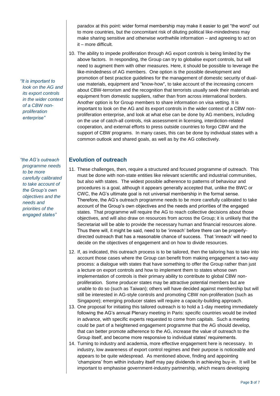paradox at this point: wider formal membership may make it easier to get "the word" out to more countries, but the concomitant risk of diluting political like-mindedness may make sharing sensitive and otherwise worthwhile information – and agreeing to act on it – more difficult.

10. The ability to impede proliferation through AG export controls is being limited by the above factors. In responding, the Group can try to globalise export controls, but will need to augment them with other measures. Here, it should be possible to leverage the like-mindedness of AG members. One option is the possible development and promotion of best practice guidelines for the management of domestic security of dualuse materials, equipment and "know-how", to take account of the increasing concern about CBW-terrorism and the recognition that terrorists usually seek their materials and equipment from domestic suppliers, rather than from across international borders. Another option is for Group members to share information on visa vetting. It is important to look on the AG and its export controls in the wider context of a CBW nonproliferation enterprise, and look at what else can be done by AG members, including on the use of catch-all controls, risk assessment in licensing, interdiction-related cooperation, and external efforts to press outside countries to forgo CBW and the support of CBW programs. In many cases, this can be done by individual states with a common outlook and shared goals, as well as by the AG collectively.

### **Evolution of outreach**

- 11. These challenges, then, require a structured and focused programme of outreach. This must be done with non-state entities like relevant scientific and industrial communities, but also with states. The widest possible adherence to patterns of behaviour and procedures is a goal, although it appears generally accepted that, unlike the BWC or CWC, the AG's ultimate goal is not universal membership in the formal sense. Therefore, the AG's outreach programme needs to be more carefully calibrated to take account of the Group's own objectives and the needs and priorities of the engaged states. That programme will require the AG to reach collective decisions about those objectives, and will also draw on resources from across the Group; it is unlikely that the Secretariat will be able to provide the necessary human and financial resources alone. Thus there will, it might be said, need to be 'inreach' before there can be properlydirected outreach that has a reasonable chance of success. That 'inreach' will need to decide on the objectives of engagement and on how to divide resources.
- 12. If, as indicated, this outreach process is to be tailored, then the tailoring has to take into account those cases where the Group can benefit from making engagement a two-way process: a dialogue with states that have something to offer the Group rather than just a lecture on export controls and how to implement them to states whose own implementation of controls is their primary ability to contribute to global CBW nonproliferation. Some producer states may be attractive potential members but are unable to do so (such as Taiwan); others will have decided against membership but will still be interested in AG-style controls and promoting CBW non-proliferation (such as Singapore); emerging producer states will require a capacity-building approach.
- 13. One proposal for initiating this tailored outreach is to hold a 1-day meeting immediately following the AG's annual Plenary meeting in Paris: specific countries would be invited in advance, with specific experts requested to come from capitals. Such a meeting could be part of a heightened engagement programme that the AG should develop, that can better promote adherence to the AG, increase the value of outreach to the Group itself, and become more responsive to individual states' requirements.
- 14. Turning to industry and academia, more effective engagement here is necessary. In industry, low awareness of export control regimes and their purpose is noticeable and appears to be quite widespread. As mentioned above, finding and appointing 'champions' from within industry itself may pay dividends in achieving buy-in. It will be important to emphasise government-industry partnership, which means developing

*"It is important to look on the AG and its export controls in the wider context of a CBW nonproliferation enterprise"*

*"the AG's outreach programme needs to be more carefully calibrated to take account of the Group's own objectives and the needs and priorities of the engaged states"*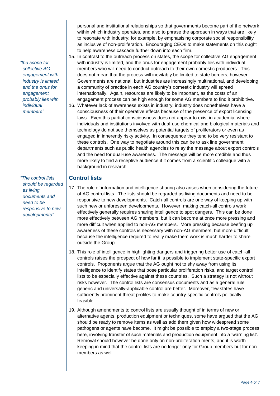*"the scope for collective AG engagement with industry is limited, and the onus for engagement probably lies with individual members"*

*"The control lists should be regarded as living documents and need to be responsive to new developments"*

personal and institutional relationships so that governments become part of the network within which industry operates, and also to phrase the approach in ways that are likely to resonate with industry: for example, by emphasising corporate social responsibility as inclusive of non-proliferation. Encouraging CEOs to make statements on this ought to help awareness cascade further down into each firm.

- 15. In contrast to the outreach process on states, the scope for collective AG engagement with industry is limited, and the onus for engagement probably lies with individual members who will need to conduct outreach to their own domestic producers. This does not mean that the process will inevitably be limited to state borders, however. Governments are national, but industries are increasingly multinational, and developing a community of practice in each AG country's domestic industry will spread internationally. Again, resources are likely to be important, as the costs of an engagement process can be high enough for some AG members to find it prohibitive.
- 16. Whatever lack of awareness exists in industry, industry does nonetheless have a consciousness of their operative effects because of the presence of export licensing laws. Even this partial consciousness does not appear to exist in academia, where individuals and institutions involved with dual-use chemical and biological materials and technology do not see themselves as potential targets of proliferators or even as engaged in inherently risky activity. In consequence they tend to be very resistant to these controls. One way to negotiate around this can be to ask line government departments such as public health agencies to relay the message about export controls and the need for dual-use awareness. The message will be more credible and thus more likely to find a receptive audience if it comes from a scientific colleague with a background in research.

#### **Control lists**

- 17. The role of information and intelligence sharing also arises when considering the future of AG control lists. The lists should be regarded as living documents and need to be responsive to new developments. Catch-all controls are one way of keeping up with such new or unforeseen developments. However, making catch-all controls work effectively generally requires sharing intelligence to spot dangers. This can be done more effectively between AG members, but it can become at once more pressing and more difficult when applied to non-AG members. More pressing because beefing up awareness of these controls is necessary with non-AG members, but more difficult because the intelligence required to really make them work is much harder to share outside the Group.
- 18. This role of intelligence in highlighting dangers and triggering better use of catch-all controls raises the prospect of how far it is possible to implement state-specific export controls. Proponents argue that the AG ought not to shy away from using its intelligence to identify states that pose particular proliferation risks, and target control lists to be especially effective against these countries. Such a strategy is not without risks however. The control lists are consensus documents and as a general rule generic and universally-applicable control are better. Moreover, few states have sufficiently prominent threat profiles to make country-specific controls politically feasible.
- 19. Although amendments to control lists are usually thought of in terms of new or alternative agents, production equipment or techniques, some have argued that the AG should be ready to remove items as well as add them given how widespread some pathogens or agents have become. It might be possible to employ a two-stage process here, involving transfer of such materials and production equipment into a 'warning list'. Removal should however be done only on non-proliferation merits, and it is worth keeping in mind that the control lists are no longer only for Group members but for nonmembers as well.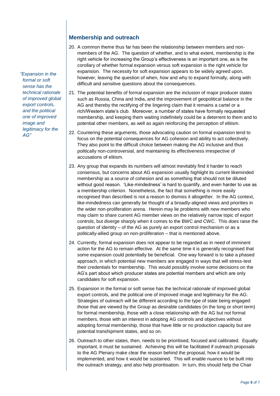## **Membership and outreach**

- 20. A common theme thus far has been the relationship between members and nonmembers of the AG. The question of whether, and to what extent, membership is the right vehicle for increasing the Group's effectiveness is an important one, as is the corollary of whether formal expansion versus soft expansion is the right vehicle for expansion. The necessity for soft expansion appears to be widely agreed upon, however, leaving the question of when, how and why to expand formally, along with difficult and sensitive questions about the consequences.
- 21. The potential benefits of formal expansion are the inclusion of major producer states such as Russia, China and India, and the improvement of geopolitical balance in the AG and thereby the rectifying of the lingering claim that it remains a cartel or a rich/Western state's club. Moreover, a number of states have formally requested membership, and keeping them waiting indefinitely could be a deterrent to them and to potential other members, as well as again reinforcing the perception of elitism.
- 22. Countering these arguments, those advocating caution on formal expansion tend to focus on the potential consequences for AG cohesion and ability to act collectively. They also point to the difficult choice between making the AG inclusive and thus politically non-controversial, and maintaining its effectiveness irrespective of accusations of elitism.
- 23. Any group that expands its numbers will almost inevitably find it harder to reach consensus, but concerns about AG expansion usually highlight its current likeminded membership as a source of cohesion and as something that should not be diluted without good reason. 'Like-mindedness' is hard to quantify, and even harder to use as a membership criterion. Nonetheless, the fact that something is more easily recognised than described is not a reason to dismiss it altogether. In the AG context, like-mindedness can generally be thought of a broadly-aligned views and priorities in the wider non-proliferation arena. Herein may lie problems with new members who may claim to share current AG member views on the relatively narrow topic of export controls, but diverge sharply when it comes to the BWC and CWC. This does raise the question of identity – of the AG as purely an export control mechanism or as a politically-allied group on non-proliferation – that is mentioned above.
- 24. Currently, formal expansion does not appear to be regarded as in need of imminent action for the AG to remain effective. At the same time it is generally recognised that some expansion could potentially be beneficial. One way forward is to take a phased approach, in which potential new members are engaged in ways that will stress-test their credentials for membership. This would possibly involve some decisions on the AG's part about which producer states are potential members and which are only candidates for soft expansion.
- 25. Expansion in the formal or soft sense has the technical rationale of improved global export controls, and the political one of improved image and legitimacy for the AG. Strategies of outreach will be different according to the type of state being engaged: those that are viewed by the Group as desirable candidates (in the long or short term) for formal membership, those with a close relationship with the AG but not formal members, those with an interest in adopting AG controls and objectives without adopting formal membership, those that have little or no production capacity but are potential transhipment states, and so on.
- 26. Outreach to other states, then, needs to be prioritised, focused and calibrated. Equally important, it must be sustained. Achieving this will be facilitated if outreach proposals to the AG Plenary make clear the reason behind the proposal, how it would be implemented, and how it would be sustained. This will enable nuance to be built into the outreach strategy, and also help prioritisation. In turn, this should help the Chair

*"Expansion in the formal or soft sense has the technical rationale of improved global export controls, and the political one of improved image and legitimacy for the AG"*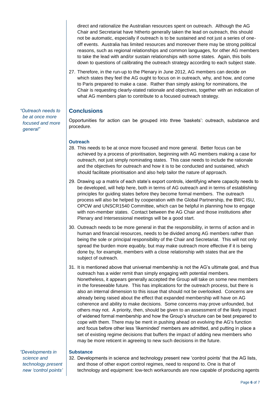direct and rationalize the Australian resources spent on outreach. Although the AG Chair and Secretariat have hitherto generally taken the lead on outreach, this should not be automatic, especially if outreach is to be sustained and not just a series of oneoff events. Australia has limited resources and moreover there may be strong political reasons, such as regional relationships and common languages, for other AG members to take the lead with and/or sustain relationships with some states. Again, this boils down to questions of calibrating the outreach strategy according to each subject state.

27. Therefore, in the run-up to the Plenary in June 2012, AG members can decide on which states they feel the AG ought to focus on in outreach, why, and how, and come to Paris prepared to make a case. Rather than simply asking for nominations, the Chair is requesting clearly-stated rationale and objectives, together with an indication of what AG members plan to contribute to a focused outreach strategy.

### **Conclusions**

Opportunities for action can be grouped into three 'baskets': outreach, substance and procedure.

#### **Outreach**

- 28. This needs to be at once more focused and more general. Better focus can be achieved by a process of prioritisation, beginning with AG members making a case for outreach, not just simply nominating states. This case needs to include the rationale and the objectives for outreach and how it is to be conducted and sustained, which should facilitate prioritisation and also help tailor the nature of approach.
- 29. Drawing up a matrix of each state's export controls, identifying where capacity needs to be developed, will help here, both in terms of AG outreach and in terms of establishing principles for guiding states before they become formal members. The outreach process will also be helped by cooperation with the Global Partnership, the BWC ISU, OPCW and UNSCR1540 Committee, which can be helpful in planning how to engage with non-member states. Contact between the AG Chair and those institutions after Plenary and Intersessional meetings will be a good start.
- 30. Outreach needs to be more general in that the responsibility, in terms of action and in human and financial resources, needs to be divided among AG members rather than being the sole or principal responsibility of the Chair and Secretariat. This will not only spread the burden more equably, but may make outreach more effective if it is being done by, for example, members with a close relationship with states that are the subject of outreach.
- 31. It is mentioned above that universal membership is not the AG's ultimate goal, and thus outreach has a wider remit than simply engaging with potential members. Nonetheless, it appears generally accepted the Group will take on some new members in the foreseeable future. This has implications for the outreach process, but there is also an internal dimension to this issue that should not be overlooked. Concerns are already being raised about the effect that expanded membership will have on AG coherence and ability to make decisions. Some concerns may prove unfounded, but others may not. A priority, then, should be given to an assessment of the likely impact of widened formal membership and how the Group's structure can be best prepared to cope with them. There may be merit in pushing ahead on evolving the AG's function and focus before other less 'likeminded' members are admitted, and putting in place a set of existing regime decisions that buffers the impact of adding new members who may be more reticent in agreeing to new such decisions in the future.

*"Developments in science and technology present new 'control points'* 

#### **Substance**

32. Developments in science and technology present new 'control points' that the AG lists, and those of other export control regimes, need to respond to. One is that of technology and equipment: low-tech workarounds are now capable of producing agents

*"Outreach needs to be at once more focused and more general"*